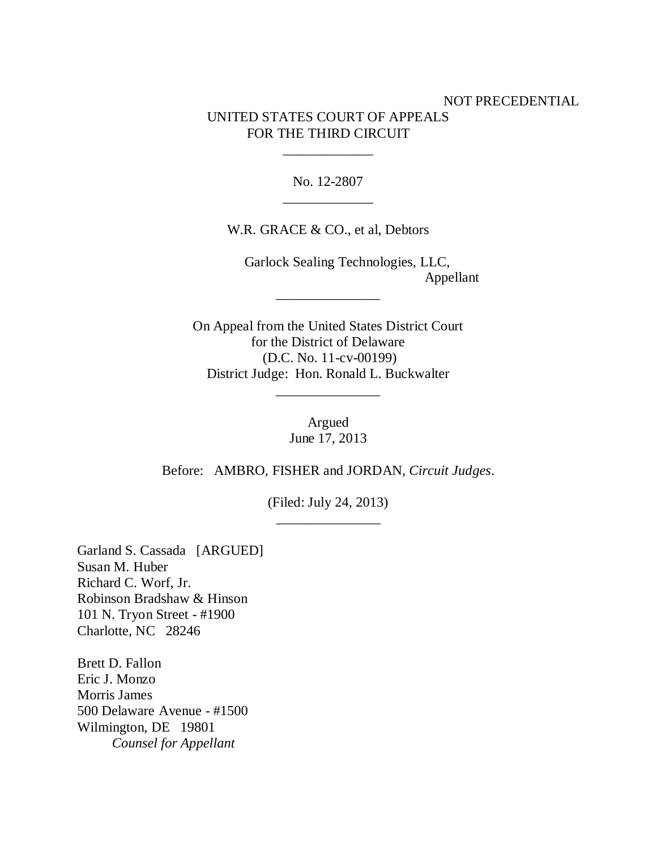## NOT PRECEDENTIAL UNITED STATES COURT OF APPEALS FOR THE THIRD CIRCUIT

No. 12-2807 \_\_\_\_\_\_\_\_\_\_\_\_\_

\_\_\_\_\_\_\_\_\_\_\_\_\_

W.R. GRACE & CO., et al, Debtors

 Garlock Sealing Technologies, LLC, Appellant \_\_\_\_\_\_\_\_\_\_\_\_\_\_\_

On Appeal from the United States District Court for the District of Delaware (D.C. No. 11-cv-00199) District Judge: Hon. Ronald L. Buckwalter

\_\_\_\_\_\_\_\_\_\_\_\_\_\_\_

Argued June 17, 2013

Before: AMBRO, FISHER and JORDAN, *Circuit Judges*.

(Filed: July 24, 2013) \_\_\_\_\_\_\_\_\_\_\_\_\_\_\_

Garland S. Cassada [ARGUED] Susan M. Huber Richard C. Worf, Jr. Robinson Bradshaw & Hinson 101 N. Tryon Street - #1900 Charlotte, NC 28246

Brett D. Fallon Eric J. Monzo Morris James 500 Delaware Avenue - #1500 Wilmington, DE 19801 *Counsel for Appellant*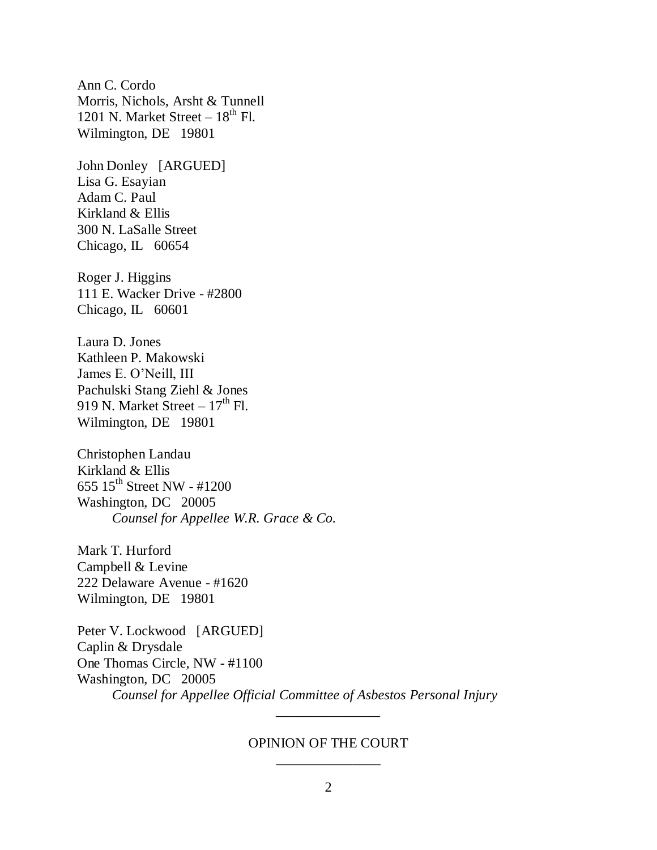Ann C. Cordo Morris, Nichols, Arsht & Tunnell 1201 N. Market Street –  $18<sup>th</sup>$  Fl. Wilmington, DE 19801

John Donley [ARGUED] Lisa G. Esayian Adam C. Paul Kirkland & Ellis 300 N. LaSalle Street Chicago, IL 60654

Roger J. Higgins 111 E. Wacker Drive - #2800 Chicago, IL 60601

Laura D. Jones Kathleen P. Makowski James E. O"Neill, III Pachulski Stang Ziehl & Jones 919 N. Market Street –  $17<sup>th</sup>$  Fl. Wilmington, DE 19801

Christophen Landau Kirkland & Ellis 655  $15^{th}$  Street NW - #1200 Washington, DC 20005 *Counsel for Appellee W.R. Grace & Co.*

Mark T. Hurford Campbell & Levine 222 Delaware Avenue - #1620 Wilmington, DE 19801

Peter V. Lockwood [ARGUED] Caplin & Drysdale One Thomas Circle, NW - #1100 Washington, DC 20005 *Counsel for Appellee Official Committee of Asbestos Personal Injury*

## OPINION OF THE COURT \_\_\_\_\_\_\_\_\_\_\_\_\_\_\_

\_\_\_\_\_\_\_\_\_\_\_\_\_\_\_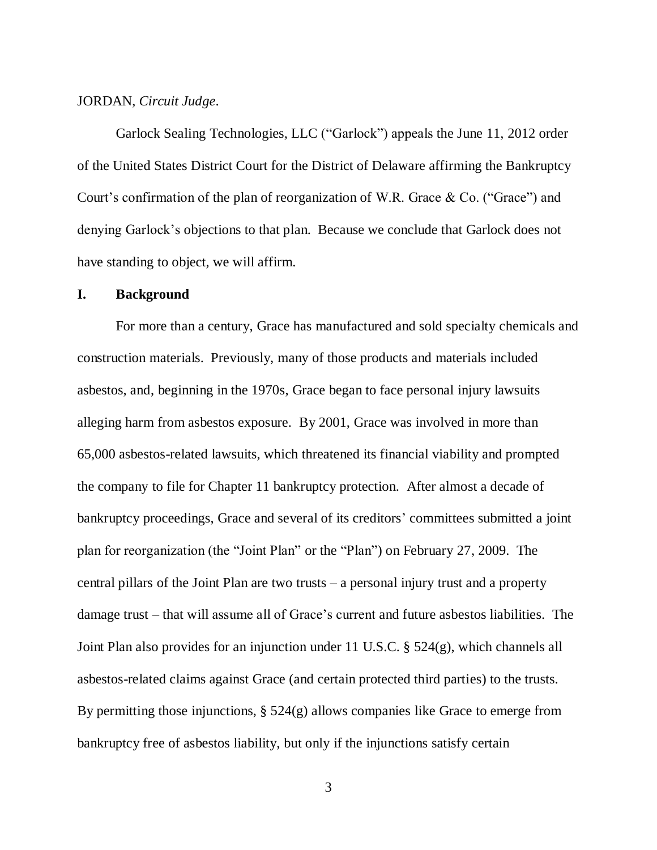### JORDAN, *Circuit Judge*.

Garlock Sealing Technologies, LLC ("Garlock") appeals the June 11, 2012 order of the United States District Court for the District of Delaware affirming the Bankruptcy Court's confirmation of the plan of reorganization of W.R. Grace  $\&$  Co. ("Grace") and denying Garlock"s objections to that plan. Because we conclude that Garlock does not have standing to object, we will affirm.

#### **I. Background**

For more than a century, Grace has manufactured and sold specialty chemicals and construction materials. Previously, many of those products and materials included asbestos, and, beginning in the 1970s, Grace began to face personal injury lawsuits alleging harm from asbestos exposure. By 2001, Grace was involved in more than 65,000 asbestos-related lawsuits, which threatened its financial viability and prompted the company to file for Chapter 11 bankruptcy protection. After almost a decade of bankruptcy proceedings, Grace and several of its creditors' committees submitted a joint plan for reorganization (the "Joint Plan" or the "Plan") on February 27, 2009. The central pillars of the Joint Plan are two trusts – a personal injury trust and a property damage trust – that will assume all of Grace"s current and future asbestos liabilities. The Joint Plan also provides for an injunction under 11 U.S.C. § 524(g), which channels all asbestos-related claims against Grace (and certain protected third parties) to the trusts. By permitting those injunctions, § 524(g) allows companies like Grace to emerge from bankruptcy free of asbestos liability, but only if the injunctions satisfy certain

3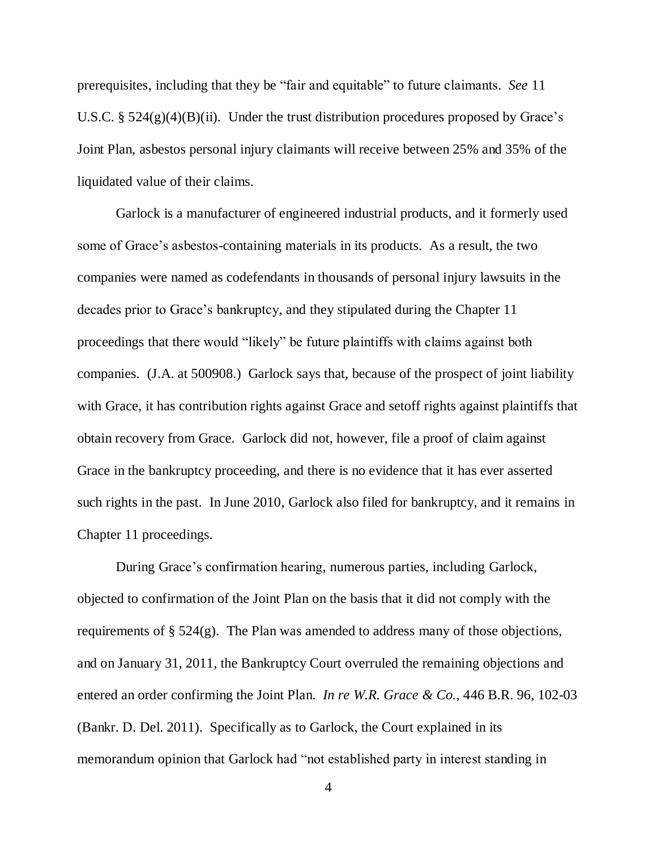prerequisites, including that they be "fair and equitable" to future claimants. *See* 11 U.S.C.  $\S$  524(g)(4)(B)(ii). Under the trust distribution procedures proposed by Grace's Joint Plan, asbestos personal injury claimants will receive between 25% and 35% of the liquidated value of their claims.

Garlock is a manufacturer of engineered industrial products, and it formerly used some of Grace's asbestos-containing materials in its products. As a result, the two companies were named as codefendants in thousands of personal injury lawsuits in the decades prior to Grace"s bankruptcy, and they stipulated during the Chapter 11 proceedings that there would "likely" be future plaintiffs with claims against both companies. (J.A. at 500908.) Garlock says that, because of the prospect of joint liability with Grace, it has contribution rights against Grace and set of rights against plaintiffs that obtain recovery from Grace. Garlock did not, however, file a proof of claim against Grace in the bankruptcy proceeding, and there is no evidence that it has ever asserted such rights in the past. In June 2010, Garlock also filed for bankruptcy, and it remains in Chapter 11 proceedings.

During Grace"s confirmation hearing, numerous parties, including Garlock, objected to confirmation of the Joint Plan on the basis that it did not comply with the requirements of § 524(g). The Plan was amended to address many of those objections, and on January 31, 2011, the Bankruptcy Court overruled the remaining objections and entered an order confirming the Joint Plan. *In re W.R. Grace & Co.*, 446 B.R. 96, 102-03 (Bankr. D. Del. 2011). Specifically as to Garlock, the Court explained in its memorandum opinion that Garlock had "not established party in interest standing in

4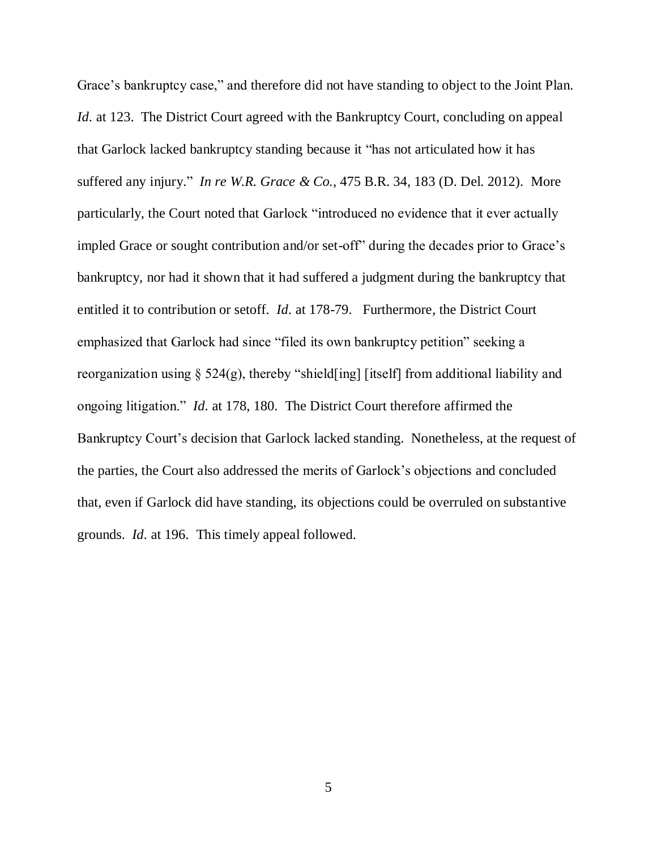Grace"s bankruptcy case," and therefore did not have standing to object to the Joint Plan. *Id.* at 123. The District Court agreed with the Bankruptcy Court, concluding on appeal that Garlock lacked bankruptcy standing because it "has not articulated how it has suffered any injury." *In re W.R. Grace & Co.*, 475 B.R. 34, 183 (D. Del. 2012). More particularly, the Court noted that Garlock "introduced no evidence that it ever actually impled Grace or sought contribution and/or set-off" during the decades prior to Grace's bankruptcy, nor had it shown that it had suffered a judgment during the bankruptcy that entitled it to contribution or setoff. *Id.* at 178-79. Furthermore, the District Court emphasized that Garlock had since "filed its own bankruptcy petition" seeking a reorganization using § 524(g), thereby "shield[ing] [itself] from additional liability and ongoing litigation." *Id.* at 178, 180. The District Court therefore affirmed the Bankruptcy Court's decision that Garlock lacked standing. Nonetheless, at the request of the parties, the Court also addressed the merits of Garlock"s objections and concluded that, even if Garlock did have standing, its objections could be overruled on substantive grounds. *Id.* at 196. This timely appeal followed.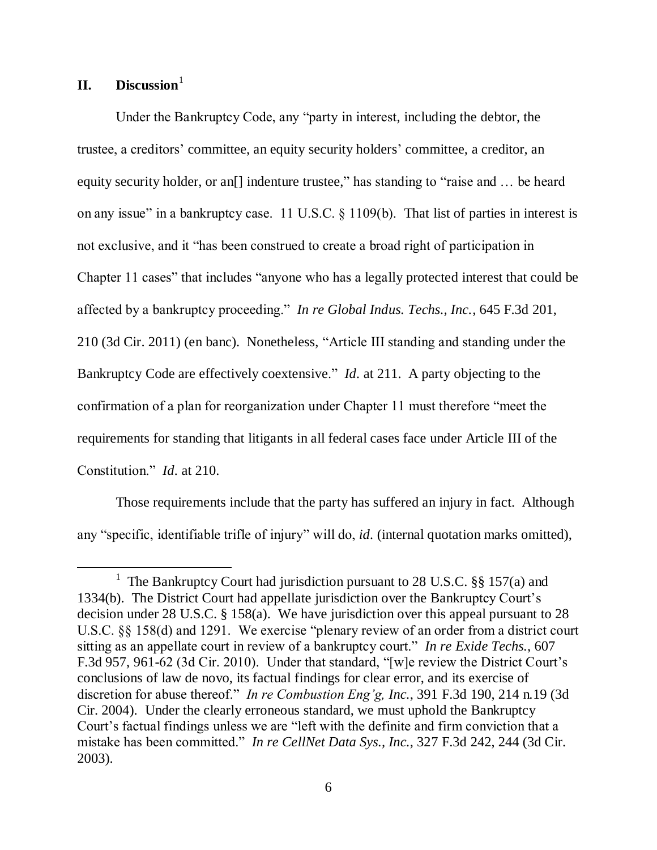# **II. Discussion**<sup>1</sup>

 $\overline{a}$ 

Under the Bankruptcy Code, any "party in interest, including the debtor, the trustee, a creditors" committee, an equity security holders" committee, a creditor, an equity security holder, or an<sup>[]</sup> indenture trustee," has standing to "raise and ... be heard on any issue" in a bankruptcy case. 11 U.S.C. § 1109(b). That list of parties in interest is not exclusive, and it "has been construed to create a broad right of participation in Chapter 11 cases" that includes "anyone who has a legally protected interest that could be affected by a bankruptcy proceeding." *In re Global Indus. Techs., Inc.*, 645 F.3d 201, 210 (3d Cir. 2011) (en banc). Nonetheless, "Article III standing and standing under the Bankruptcy Code are effectively coextensive." *Id.* at 211. A party objecting to the confirmation of a plan for reorganization under Chapter 11 must therefore "meet the requirements for standing that litigants in all federal cases face under Article III of the Constitution." *Id.* at 210.

Those requirements include that the party has suffered an injury in fact. Although any "specific, identifiable trifle of injury" will do, *id.* (internal quotation marks omitted),

<sup>&</sup>lt;sup>1</sup> The Bankruptcy Court had jurisdiction pursuant to 28 U.S.C. §§ 157(a) and 1334(b). The District Court had appellate jurisdiction over the Bankruptcy Court"s decision under 28 U.S.C. § 158(a). We have jurisdiction over this appeal pursuant to 28 U.S.C. §§ 158(d) and 1291. We exercise "plenary review of an order from a district court sitting as an appellate court in review of a bankruptcy court." *In re Exide Techs.*, 607 F.3d 957, 961-62 (3d Cir. 2010). Under that standard, "[w]e review the District Court's conclusions of law de novo, its factual findings for clear error, and its exercise of discretion for abuse thereof." *In re Combustion Eng'g, Inc.*, 391 F.3d 190, 214 n.19 (3d Cir. 2004). Under the clearly erroneous standard, we must uphold the Bankruptcy Court"s factual findings unless we are "left with the definite and firm conviction that a mistake has been committed." *In re CellNet Data Sys., Inc.*, 327 F.3d 242, 244 (3d Cir. 2003).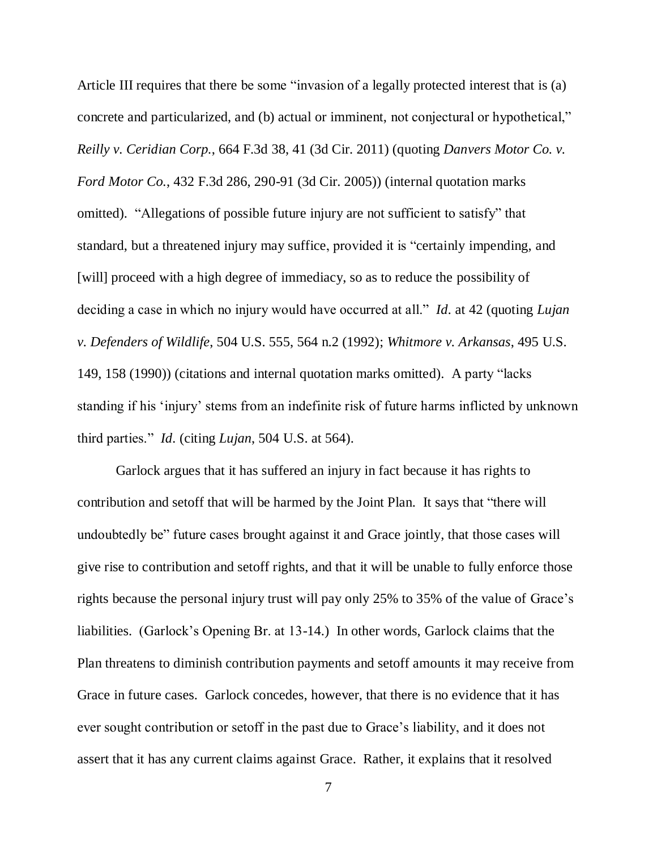Article III requires that there be some "invasion of a legally protected interest that is (a) concrete and particularized, and (b) actual or imminent, not conjectural or hypothetical," *Reilly v. Ceridian Corp.*, 664 F.3d 38, 41 (3d Cir. 2011) (quoting *Danvers Motor Co. v. Ford Motor Co.*, 432 F.3d 286, 290-91 (3d Cir. 2005)) (internal quotation marks omitted). "Allegations of possible future injury are not sufficient to satisfy" that standard, but a threatened injury may suffice, provided it is "certainly impending, and [will] proceed with a high degree of immediacy, so as to reduce the possibility of deciding a case in which no injury would have occurred at all." *Id.* at 42 (quoting *Lujan v. Defenders of Wildlife*, 504 U.S. 555, 564 n.2 (1992); *Whitmore v. Arkansas*, 495 U.S. 149, 158 (1990)) (citations and internal quotation marks omitted). A party "lacks standing if his "injury" stems from an indefinite risk of future harms inflicted by unknown third parties." *Id.* (citing *Lujan*, 504 U.S. at 564).

Garlock argues that it has suffered an injury in fact because it has rights to contribution and setoff that will be harmed by the Joint Plan. It says that "there will undoubtedly be" future cases brought against it and Grace jointly, that those cases will give rise to contribution and setoff rights, and that it will be unable to fully enforce those rights because the personal injury trust will pay only 25% to 35% of the value of Grace's liabilities. (Garlock"s Opening Br. at 13-14.) In other words, Garlock claims that the Plan threatens to diminish contribution payments and setoff amounts it may receive from Grace in future cases. Garlock concedes, however, that there is no evidence that it has ever sought contribution or setoff in the past due to Grace"s liability, and it does not assert that it has any current claims against Grace. Rather, it explains that it resolved

7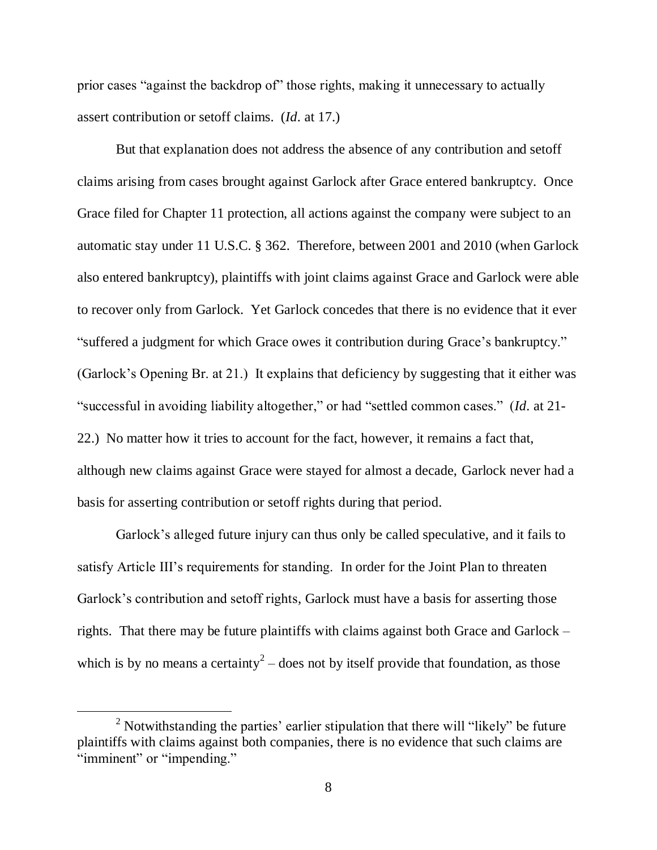prior cases "against the backdrop of" those rights, making it unnecessary to actually assert contribution or setoff claims. (*Id.* at 17.)

But that explanation does not address the absence of any contribution and setoff claims arising from cases brought against Garlock after Grace entered bankruptcy. Once Grace filed for Chapter 11 protection, all actions against the company were subject to an automatic stay under 11 U.S.C. § 362. Therefore, between 2001 and 2010 (when Garlock also entered bankruptcy), plaintiffs with joint claims against Grace and Garlock were able to recover only from Garlock. Yet Garlock concedes that there is no evidence that it ever "suffered a judgment for which Grace owes it contribution during Grace"s bankruptcy." (Garlock"s Opening Br. at 21.) It explains that deficiency by suggesting that it either was "successful in avoiding liability altogether," or had "settled common cases." (*Id.* at 21- 22.) No matter how it tries to account for the fact, however, it remains a fact that, although new claims against Grace were stayed for almost a decade, Garlock never had a basis for asserting contribution or setoff rights during that period.

Garlock"s alleged future injury can thus only be called speculative, and it fails to satisfy Article III's requirements for standing. In order for the Joint Plan to threaten Garlock's contribution and setoff rights, Garlock must have a basis for asserting those rights. That there may be future plaintiffs with claims against both Grace and Garlock – which is by no means a certainty<sup>2</sup> – does not by itself provide that foundation, as those

 $\overline{a}$ 

 $2$  Notwithstanding the parties' earlier stipulation that there will "likely" be future plaintiffs with claims against both companies, there is no evidence that such claims are "imminent" or "impending."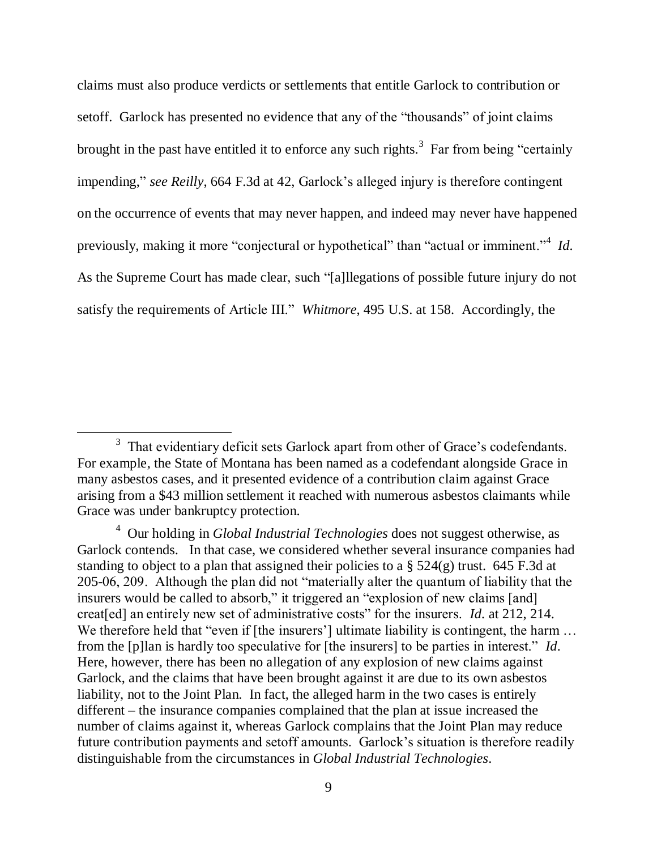claims must also produce verdicts or settlements that entitle Garlock to contribution or setoff. Garlock has presented no evidence that any of the "thousands" of joint claims brought in the past have entitled it to enforce any such rights.<sup>3</sup> Far from being "certainly impending," *see Reilly*, 664 F.3d at 42, Garlock's alleged injury is therefore contingent on the occurrence of events that may never happen, and indeed may never have happened previously, making it more "conjectural or hypothetical" than "actual or imminent."<sup>4</sup> Id. As the Supreme Court has made clear, such "[a]llegations of possible future injury do not satisfy the requirements of Article III." *Whitmore*, 495 U.S. at 158. Accordingly, the

 $\overline{a}$ 

 $3$  That evidentiary deficit sets Garlock apart from other of Grace's codefendants. For example, the State of Montana has been named as a codefendant alongside Grace in many asbestos cases, and it presented evidence of a contribution claim against Grace arising from a \$43 million settlement it reached with numerous asbestos claimants while Grace was under bankruptcy protection.

<sup>4</sup> Our holding in *Global Industrial Technologies* does not suggest otherwise, as Garlock contends. In that case, we considered whether several insurance companies had standing to object to a plan that assigned their policies to a  $\S$  524(g) trust. 645 F.3d at 205-06, 209. Although the plan did not "materially alter the quantum of liability that the insurers would be called to absorb," it triggered an "explosion of new claims [and] creat[ed] an entirely new set of administrative costs" for the insurers. *Id.* at 212, 214. We therefore held that "even if [the insurers'] ultimate liability is contingent, the harm ... from the [p]lan is hardly too speculative for [the insurers] to be parties in interest." *Id.* Here, however, there has been no allegation of any explosion of new claims against Garlock, and the claims that have been brought against it are due to its own asbestos liability, not to the Joint Plan. In fact, the alleged harm in the two cases is entirely different – the insurance companies complained that the plan at issue increased the number of claims against it, whereas Garlock complains that the Joint Plan may reduce future contribution payments and setoff amounts. Garlock"s situation is therefore readily distinguishable from the circumstances in *Global Industrial Technologies*.